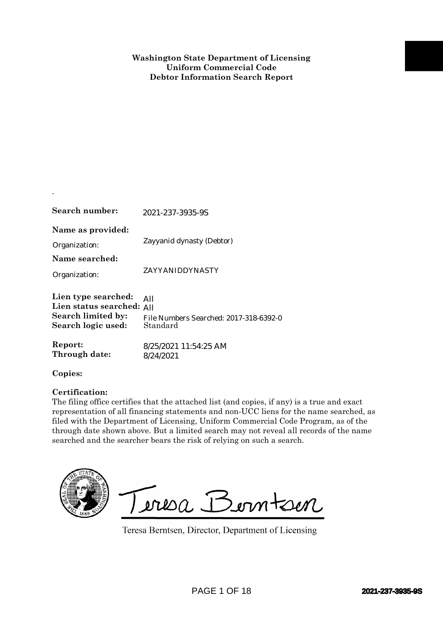| Search number:                                                                               | 2021-237-3935-9S                                                                                                                                                                                                                                                                                                                                                                                                                              |                         |
|----------------------------------------------------------------------------------------------|-----------------------------------------------------------------------------------------------------------------------------------------------------------------------------------------------------------------------------------------------------------------------------------------------------------------------------------------------------------------------------------------------------------------------------------------------|-------------------------|
| Name as provided:<br>Organization:                                                           | Zayyanid dynasty (Debtor)                                                                                                                                                                                                                                                                                                                                                                                                                     |                         |
| Name searched:<br>Organization:                                                              | ZAYYANIDDYNASTY                                                                                                                                                                                                                                                                                                                                                                                                                               |                         |
| Lien type searched:<br>Lien status searched: All<br>Search limited by:<br>Search logic used: | All<br>File Numbers Searched: 2017-318-6392-0<br>Standard                                                                                                                                                                                                                                                                                                                                                                                     |                         |
| Report:<br>Through date:                                                                     | 8/25/2021 11:54:25 AM<br>8/24/2021                                                                                                                                                                                                                                                                                                                                                                                                            |                         |
| Copies:                                                                                      |                                                                                                                                                                                                                                                                                                                                                                                                                                               |                         |
| Certification:                                                                               | The filing office certifies that the attached list (and copies, if any) is a true and exact<br>representation of all financing statements and non-UCC liens for the name searched, as<br>filed with the Department of Licensing, Uniform Commercial Code Program, as of the<br>through date shown above. But a limited search may not reveal all records of the name<br>searched and the searcher bears the risk of relying on such a search. |                         |
|                                                                                              | Teresa Berntsen<br>Teresa Berntsen, Director, Department of Licensing                                                                                                                                                                                                                                                                                                                                                                         |                         |
|                                                                                              | <b>PAGE 1 OF 18</b>                                                                                                                                                                                                                                                                                                                                                                                                                           | <b>2021-237-3935-99</b> |

## **Certification:**

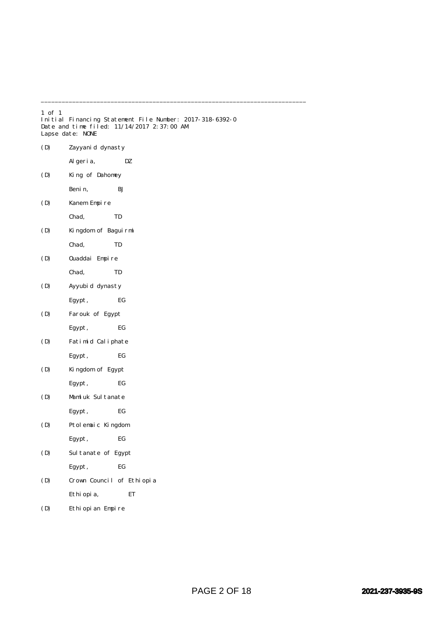| $1$ of $1$ | Lapse date: NONE          | Initial Financing Statement File Number: 2017-318-6392-0<br>Date and time filed: 11/14/2017 2:37:00 AM |
|------------|---------------------------|--------------------------------------------------------------------------------------------------------|
| (D)        | Zayyanid dynasty          |                                                                                                        |
|            | Al geri a,                | DZ                                                                                                     |
| (D)        | King of Dahomey           |                                                                                                        |
|            | Benin,                    | ВJ                                                                                                     |
| (D)        | Kanem Empire              |                                                                                                        |
|            | Chad,                     | TD                                                                                                     |
| (D)        | Kingdom of Baguirmi       |                                                                                                        |
|            | Chad,                     | TD                                                                                                     |
| (D)        | Ouaddai Empire            |                                                                                                        |
|            | Chad,                     | TD                                                                                                     |
| (D)        | Ayyubid dynasty           |                                                                                                        |
|            | Egypt,                    | EG                                                                                                     |
| (D)        | Farouk of Egypt           |                                                                                                        |
|            | Egypt,                    | EG                                                                                                     |
| (D)        | Fatimid Caliphate         |                                                                                                        |
|            | Egypt,                    | EG                                                                                                     |
| (D)        | Kingdom of Egypt          |                                                                                                        |
|            | Egypt,                    | EG                                                                                                     |
| (D)        | Mamluk Sultanate          |                                                                                                        |
|            | Egypt,                    | EG                                                                                                     |
| (D)        | Ptolemaic Kingdom         |                                                                                                        |
|            | Egypt,                    | EG                                                                                                     |
| (D)        | Sultanate of Egypt        |                                                                                                        |
|            | Egypt,                    | EG                                                                                                     |
| (D)        | Crown Council of Ethiopia |                                                                                                        |
|            | Ethi opi a,               | ET                                                                                                     |
| (D)        | Ethiopian Empire          |                                                                                                        |

\_\_\_\_\_\_\_\_\_\_\_\_\_\_\_\_\_\_\_\_\_\_\_\_\_\_\_\_\_\_\_\_\_\_\_\_\_\_\_\_\_\_\_\_\_\_\_\_\_\_\_\_\_\_\_\_\_\_\_\_\_\_\_\_\_\_\_\_\_\_\_\_\_\_\_\_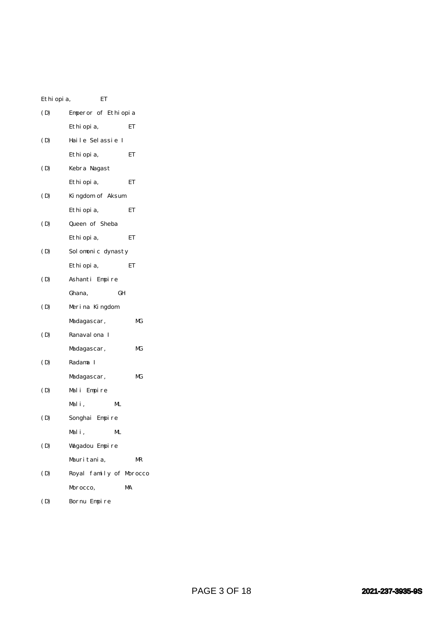| Ethi opi a, | ET                      |    |
|-------------|-------------------------|----|
| (D)         | Emperor of Ethiopia     |    |
|             | Ethi opi a,             | ET |
| (D)         | Haile Selassie I        |    |
|             | Ethi opi a,             | ЕT |
| (D)         | Kebra Nagast            |    |
|             | Ethi opi a,             | ET |
| (D)         | Kingdom of Aksum        |    |
|             | Ethi opi a,             | ET |
| (D)         | Queen of Sheba          |    |
|             | Ethi opi a,             | ET |
| (D)         | Solomonic dynasty       |    |
|             | Ethi opi a,             | ET |
| (D)         | Ashanti Empire          |    |
|             | GH<br>Ghana,            |    |
| (D)         | Merina Kingdom          |    |
|             | Madagascar,             | МG |
| (D)         | Ranaval ona I           |    |
|             | Madagascar,             | МG |
| (D)         | Radama I                |    |
|             | Madagascar,             | МG |
| (D)         | Mali Empire             |    |
|             | Mali,<br>ML             |    |
| (D)         | Songhai Empire          |    |
|             | Mali,<br>ML.            |    |
| (D)         | Wagadou Empire          |    |
|             | Mauritania.             | MR |
| (D)         | Royal family of Morocco |    |
|             | Morocco,                | MA |
| (D)         | Bornu Empire            |    |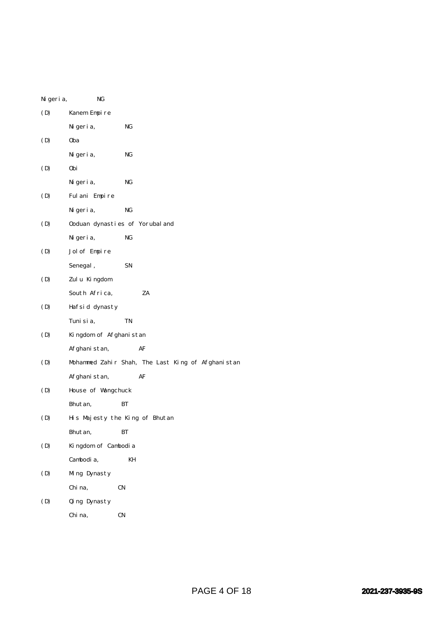| Ni geri a, | NG                                                |
|------------|---------------------------------------------------|
| (D)        | Kanem Empire                                      |
|            | Ni geri a,<br>NG                                  |
| (D)        | 0ba                                               |
|            | NG<br>Ni geri a,                                  |
| (D)        | 0bi                                               |
|            | NG<br>Ni geri a,                                  |
| (D)        | Fulani Empire                                     |
|            | NG<br>Ni geri a,                                  |
| (D)        | Ooduan dynasties of Yorubal and                   |
|            | NG<br>Ni geri a,                                  |
| (D)        | Jol of Empire                                     |
|            | Senegal,<br>SN                                    |
| (D)        | Zulu Kingdom                                      |
|            | ZA<br>South Africa,                               |
| (D)        | Hafsid dynasty                                    |
|            | TN<br>Tuni si a,                                  |
| (D)        | Kingdom of Afghanistan                            |
|            | Afghanistan,<br>AF                                |
| (D)        | Mohammed Zahir Shah, The Last King of Afghanistan |
|            | Afghanistan,<br>AF                                |
| (D)        | House of Wangchuck                                |
|            | Bhutan,<br>BТ                                     |
| (D)        | His Majesty the King of Bhutan                    |
|            | Bhut an,<br>BТ                                    |
| (D)        | Kingdom of Cambodia                               |
|            | Cambodia,<br>KH                                   |
| (D)        | Ming Dynasty                                      |
|            | Chi na,<br>CN                                     |
| (D)        | Qing Dynasty                                      |
|            | Chi na,<br>CN                                     |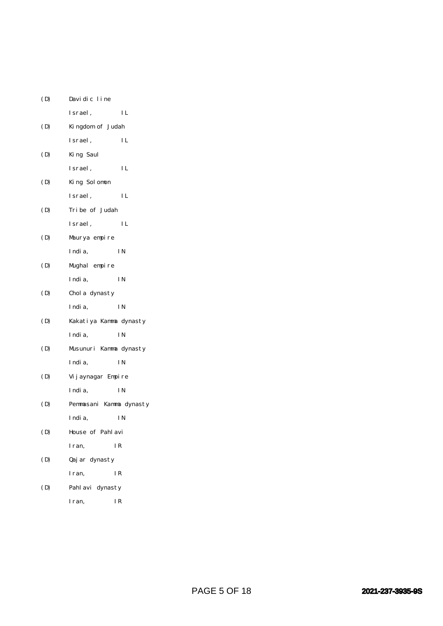| (D) | Davidic line            |           |
|-----|-------------------------|-----------|
|     | Israel,                 | IL        |
| (D) | Kingdom of Judah        |           |
|     | Israel,                 | IL        |
| (D) | King Saul               |           |
|     | Israel,                 | IL        |
| (D) | King Solomon            |           |
|     | Israel,                 | IL        |
| (D) | Tribe of Judah          |           |
|     | Israel,                 | IL        |
| (D) | Maurya empire           |           |
|     | India,                  | ΙN        |
| (D) | Mughal empire           |           |
|     | India,                  | <b>IN</b> |
| (D) | Chol a dynasty          |           |
|     | India,                  | I N       |
| (D) | Kakatiya Kamma dynasty  |           |
|     | India,                  | I N       |
| (D) | Musunuri Kamma dynasty  |           |
|     | India,                  | I N       |
| (D) | Vij aynagar Empire      |           |
|     | India,                  | I N       |
| (D) | Pemmasani Kamma dynasty |           |
|     | India,                  | ΙN        |
| (D) | House of Pahlavi        |           |
|     | Iran,                   | IR        |
| (D) | Qaj ar dynasty          |           |
|     | Iran,                   | IR        |
| (D) | Pahl avi dynasty        |           |
|     |                         |           |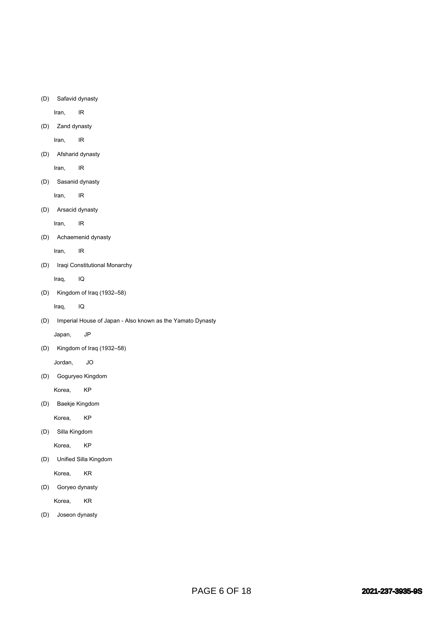(D) Safavid dynasty

Iran, IR

(D) Zand dynasty

Iran, IR

(D) Afsharid dynasty

Iran, IR

(D) Sasanid dynasty

Iran, IR

(D) Arsacid dynasty

Iran, IR

(D) Achaemenid dynasty

Iran, IR

(D) Iraqi Constitutional Monarchy

Iraq, IQ

(D) Kingdom of Iraq (1932–58)

Iraq, IQ

(D) Imperial House of Japan - Also known as the Yamato Dynasty

Japan, JP

(D) Kingdom of Iraq (1932–58)

Jordan, JO

(D) Goguryeo Kingdom

Korea, KP

(D) Baekje Kingdom

Korea, KP

(D) Silla Kingdom

Korea, KP

(D) Unified Silla Kingdom

Korea, KR

(D) Goryeo dynasty

Korea, KR

(D) Joseon dynasty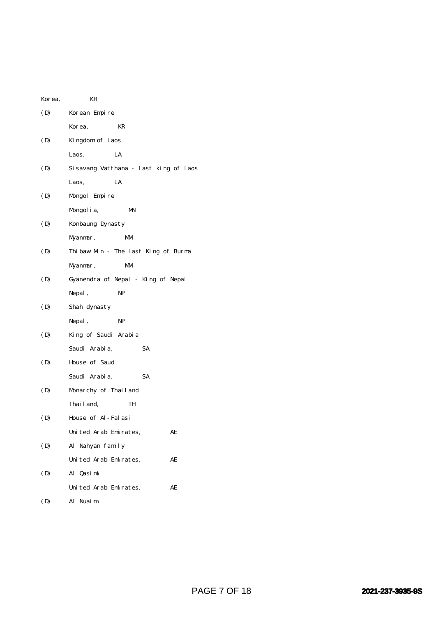| Korea, | KR                                    |  |
|--------|---------------------------------------|--|
| (D)    | Korean Empire                         |  |
|        | KR<br>Korea,                          |  |
| (D)    | Kingdom of Laos                       |  |
|        | LA<br>Laos,                           |  |
| (D)    | Sisavang Vatthana - Last king of Laos |  |
|        | LA<br>Laos,                           |  |
| (D)    | Mongol Empire                         |  |
|        | Mongol i a,<br>MN                     |  |
| (D)    | Konbaung Dynasty                      |  |
|        | Myanmar,<br>МM                        |  |
| (D)    | Thibaw Min - The last King of Burma   |  |
|        | МM<br>Myanmar,                        |  |
| (D)    | Gyanendra of Nepal - King of Nepal    |  |
|        | NP<br>Nepal,                          |  |
| (D)    | Shah dynasty                          |  |
|        | Nepal,<br>NP                          |  |
| (D)    | King of Saudi Arabia                  |  |
|        | SA<br>Saudi Arabia,                   |  |
| (D)    | House of Saud                         |  |
|        | Saudi Arabia,<br>SA                   |  |
| (D)    | Monarchy of Thailand                  |  |
|        | Thai l and,<br>TH                     |  |
| (D)    | House of Al-Falasi                    |  |
|        | United Arab Emirates,<br>AE           |  |
| (D)    | Al Nahyan family                      |  |
|        | United Arab Emirates,<br>AE           |  |
| (D)    | Al Qasimi                             |  |
|        | United Arab Emirates,<br>AE           |  |
| (D)    | Al<br>Nuaim                           |  |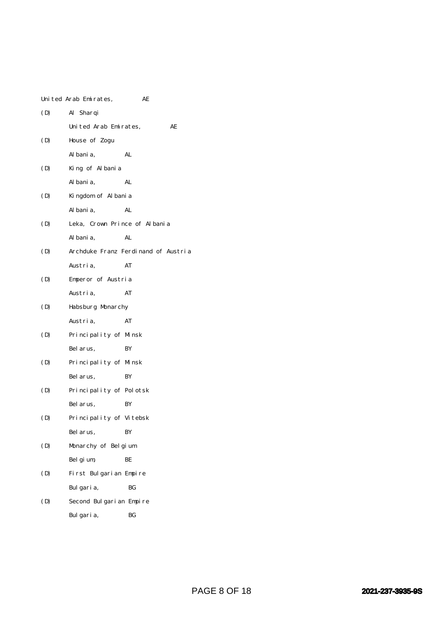|     | United Arab Emirates,         | AE                                  |
|-----|-------------------------------|-------------------------------------|
| (D) | Al Sharqi                     |                                     |
|     | United Arab Emirates,         | AЕ                                  |
| (D) | House of Zogu                 |                                     |
|     | Al bani a,                    | AL                                  |
| (D) | King of Albania               |                                     |
|     | Al bani a,                    | AL                                  |
| (D) | Kingdom of Albania            |                                     |
|     | Al bani a,                    | AL                                  |
| (D) | Leka, Crown Prince of Albania |                                     |
|     | Al bani a,                    | AL                                  |
| (D) |                               | Archduke Franz Ferdinand of Austria |
|     | Austri a,                     | AT                                  |
| (D) | Emperor of Austria            |                                     |
|     | Austria,                      | AT                                  |
| (D) | Habsburg Monarchy             |                                     |
|     | Austri a,                     | AT                                  |
| (D) | Principality of Minsk         |                                     |
|     | Bel arus,                     | BY                                  |
| (D) | Principality of Minsk         |                                     |
|     | Bel arus,                     | BY                                  |
| (D) | Principality of Polotsk       |                                     |
|     | Bel arus,                     | BY                                  |
| (D) | Principality of Vitebsk       |                                     |
|     | Bel arus,                     | ΒY                                  |
| (D) | Monarchy of Belgium           |                                     |
|     | Bel gi um,                    | BЕ                                  |
| (D) | First Bulgarian Empire        |                                     |
|     | Bulgaria,                     | BG                                  |
| (D) | Second Bulgarian Empire       |                                     |
|     | Bulgaria,                     | BG                                  |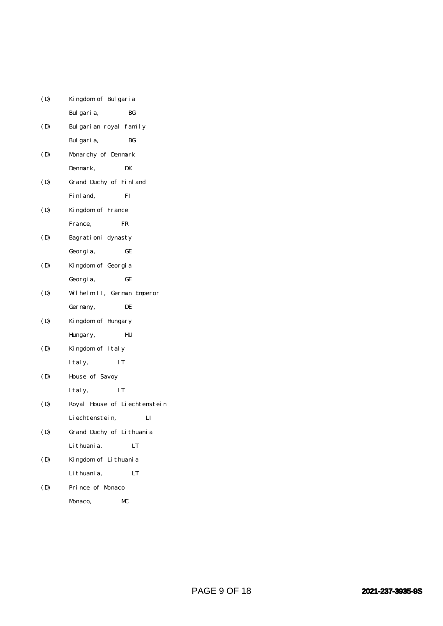| (D) | Kingdom of Bulgaria          |  |
|-----|------------------------------|--|
|     | Bulgaria,<br>ВG              |  |
| (D) | Bulgarian royal family       |  |
|     | Bulgaria,<br>ВG              |  |
| (D) | Monarchy of Denmark          |  |
|     | Denmark,<br>DK               |  |
| (D) | Grand Duchy of Finland       |  |
|     | Fi nl and,<br>FI             |  |
| (D) | Kingdom of France            |  |
|     | France,<br>FR                |  |
| (D) | Bagrationi dynasty           |  |
|     | GE<br>Georgia,               |  |
| (D) | Kingdom of Georgia           |  |
|     | GЕ<br>Georgia,               |  |
| (D) | Wilhelm II, German Emperor   |  |
|     | DE<br>Germany,               |  |
| (D) | Kingdom of Hungary           |  |
|     | HU<br>Hungary,               |  |
| (D) | Kingdom of Italy             |  |
|     | IT<br>I tal y,               |  |
| (D) | House of Savoy               |  |
|     | ΙT<br>I tal y,               |  |
| (D) | Royal House of Liechtenstein |  |
|     | п<br>Li echtenstei n,        |  |
| (D) | Grand Duchy of Lithuania     |  |
|     | Li thuani a,<br>LT           |  |
| (D) | Kingdom of Lithuania         |  |
|     | Li thuani a,<br>LT           |  |
| (D) | Prince of Monaco             |  |
|     | MС<br>Monaco,                |  |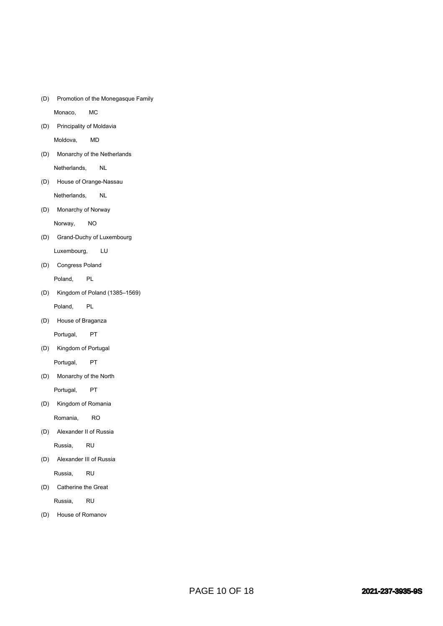(D) Promotion of the Monegasque Family

Monaco, MC

(D) Principality of Moldavia

Moldova, MD

(D) Monarchy of the Netherlands

Netherlands, NL

(D) House of Orange-Nassau

Netherlands, NL

(D) Monarchy of Norway

Norway, NO

(D) Grand-Duchy of Luxembourg

Luxembourg, LU

(D) Congress Poland

Poland, PL

(D) Kingdom of Poland (1385–1569)

Poland, PL

(D) House of Braganza

Portugal, PT

(D) Kingdom of Portugal

Portugal, PT

(D) Monarchy of the North

Portugal, PT

(D) Kingdom of Romania

Romania, RO

(D) Alexander II of Russia

Russia, RU

(D) Alexander III of Russia

Russia, RU

(D) Catherine the Great

Russia, RU

(D) House of Romanov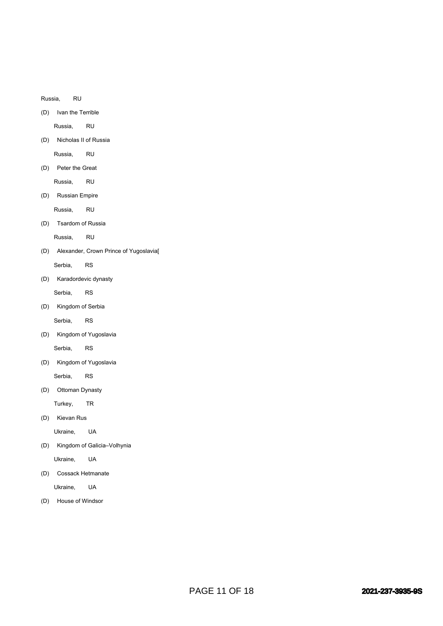Russia, RU

(D) Ivan the Terrible

Russia, RU

(D) Nicholas II of Russia

Russia, RU

(D) Peter the Great

Russia, RU

(D) Russian Empire

Russia, RU

(D) Tsardom of Russia

Russia, RU

(D) Alexander, Crown Prince of Yugoslavia[ Serbia, RS

(D) Karadordevic dynasty

Serbia, RS

(D) Kingdom of Serbia

Serbia, RS

(D) Kingdom of Yugoslavia

Serbia, RS

(D) Kingdom of Yugoslavia

Serbia, RS

(D) Ottoman Dynasty

Turkey, TR

(D) Kievan Rus

Ukraine, UA

(D) Kingdom of Galicia–Volhynia

Ukraine, UA

(D) Cossack Hetmanate

Ukraine, UA

(D) House of Windsor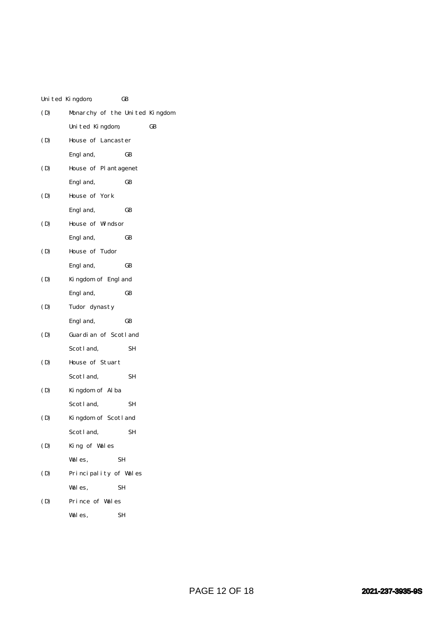|     | United Kingdom,                | GB |    |
|-----|--------------------------------|----|----|
| (D) | Monarchy of the United Kingdom |    |    |
|     | United Kingdom,                |    | GB |
| (D) | House of Lancaster             |    |    |
|     | Engl and,                      | GB |    |
| (D) | House of Plantagenet           |    |    |
|     | Engl and,                      | GB |    |
| (D) | House of York                  |    |    |
|     | Engl and,                      | GВ |    |
| (D) | House of Windsor               |    |    |
|     | Engl and,                      | GB |    |
| (D) | House of Tudor                 |    |    |
|     | Engl and,                      | GB |    |
| (D) | Kingdom of Engl and            |    |    |
|     | Engl and,                      | GB |    |
| (D) | Tudor dynasty                  |    |    |
|     | Engl and,                      | GB |    |
| (D) | Guardian of Scotland           |    |    |
|     | Scotland,                      | SН |    |
| (D) | House of Stuart                |    |    |
|     | Scotland,                      | SН |    |
| (D) | Kingdom of Alba                |    |    |
|     | Scotland,                      | SН |    |
| (D) | Kingdom of Scotland            |    |    |
|     | Scotl and,                     | SΗ |    |
| (D) | King of Wales                  |    |    |
|     | Wales,                         | SН |    |
| (D) | Principality of Wales          |    |    |
|     | Wales,                         | SН |    |
| (D) | Prince of Wales                |    |    |
|     | Wales,                         | SН |    |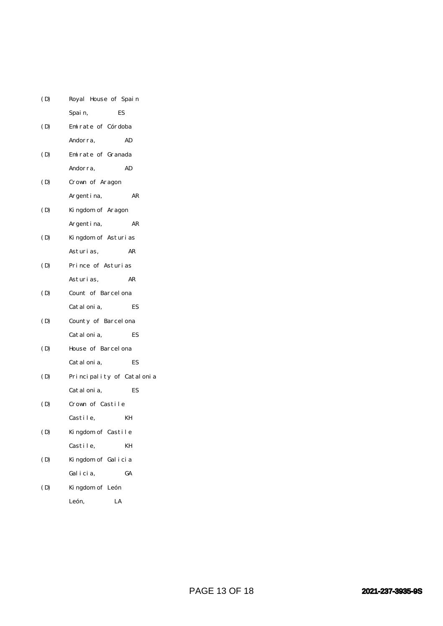| (D) | Royal House of Spain      |    |
|-----|---------------------------|----|
|     | ES<br>Spain,              |    |
| (D) | Emirate of Córdoba        |    |
|     | Andorra,                  | AD |
| (D) | Emirate of Granada        |    |
|     | Andorra,                  | AD |
| (D) | Crown of Aragon           |    |
|     | Argentina,                | AR |
| (D) | Kingdom of Aragon         |    |
|     | Argentina,                | AR |
| (D) | Kingdom of Asturias       |    |
|     | Asturi as,                | AR |
| (D) | Prince of Asturias        |    |
|     | Asturi as,                | AR |
| (D) | Count of Barcel ona       |    |
|     | Catal oni a,              | ES |
| (D) | County of Barcelona       |    |
|     | Catal oni a,              | ES |
| (D) | House of Barcel ona       |    |
|     | Catal oni a,              | ES |
| (D) | Principality of Catalonia |    |
|     | Catal oni a,              | ES |
| (D) | Crown of Castile          |    |
|     | Castile,                  | KН |
| (D) | Kingdom of Castile        |    |
|     | Castile,                  | KH |
| (D) | Kingdom of Galicia        |    |
|     | Galicia,                  | GA |
| (D) | Kingdom of León           |    |
|     | León,<br>LA               |    |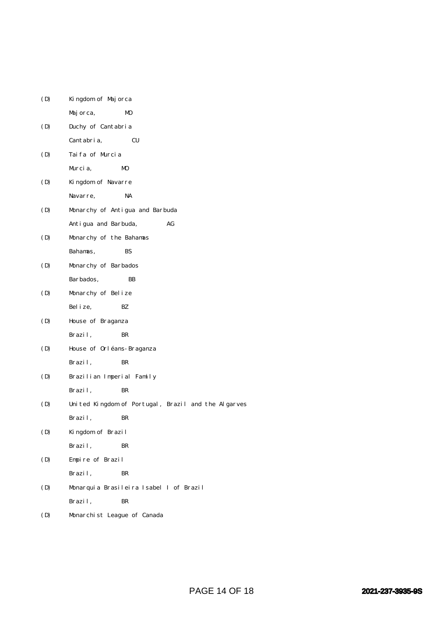| (D) | Kingdom of Majorca                                  |
|-----|-----------------------------------------------------|
|     | Majorca,<br>MO                                      |
| (D) | Duchy of Cantabria                                  |
|     | Cantabria,<br>CU                                    |
| (D) | Taifa of Murcia                                     |
|     | M <sub>0</sub><br>Murcia,                           |
| (D) | Kingdom of Navarre                                  |
|     | Navarre,<br>NA                                      |
| (D) | Monarchy of Antigua and Barbuda                     |
|     | Antigua and Barbuda,<br>AG                          |
| (D) | Monarchy of the Bahamas                             |
|     | Bahamas,<br>BS                                      |
| (D) | Monarchy of Barbados                                |
|     | Barbados,<br>BB                                     |
| (D) | Monarchy of Belize                                  |
|     | Bel i ze,<br>BZ.                                    |
| (D) | House of Braganza                                   |
|     | Brazil,<br>BR                                       |
| (D) | House of Orléans-Braganza                           |
|     | Brazil,<br>BR                                       |
| (D) | Brazilian Imperial Family                           |
|     | Brazil,<br>BR                                       |
| (D) | United Kingdom of Portugal, Brazil and the Algarves |
|     | Brazil,<br>BR                                       |
| (D) | Kingdom of Brazil                                   |
|     | Brazil,<br>BR                                       |
| (D) | Empire of Brazil                                    |
|     | Brazil,<br>BR                                       |
| (D) | Monarquia Brasileira Isabel I of Brazil             |
|     | Brazil,<br>BR                                       |
| (D) | Monarchist League of Canada                         |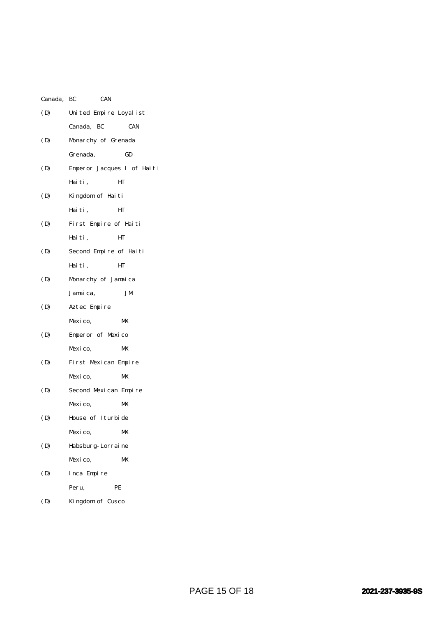| Canada, BC | <b>CAN</b>                 |            |
|------------|----------------------------|------------|
| (D)        | United Empire Loyalist     |            |
|            | Canada, BC                 | <b>CAN</b> |
| (D)        | Monarchy of Grenada        |            |
|            | Grenada,                   | GD         |
| (D)        | Emperor Jacques I of Haiti |            |
|            | Haiti,                     | HТ         |
| (D)        | Kingdom of Haiti           |            |
|            | Haiti,                     | HT         |
| (D)        | First Empire of Haiti      |            |
|            | Haiti,                     | HТ         |
| (D)        | Second Empire of Haiti     |            |
|            | Haiti,                     | HТ         |
| (D)        | Monarchy of Jamaica        |            |
|            | Jamaica,                   | JM         |
| (D)        | Aztec Empire               |            |
|            | Mexico,                    | MX         |
| (D)        | Emperor of Mexico          |            |
|            | Mexico,                    | MX         |
| (D)        | First Mexican Empire       |            |
|            | Mexico,                    | MX         |
| (D)        | Second Mexican Empire      |            |
|            | Mexico,                    | MX         |
| (D)        | House of Iturbide          |            |
|            | Mexico,                    | MX         |
| (D)        | Habsburg-Lorraine          |            |
|            | Mexico,                    | MX         |
| (D)        | Inca Empire                |            |
|            | Peru,                      | PE         |
|            |                            |            |

(D) Kingdom of Cusco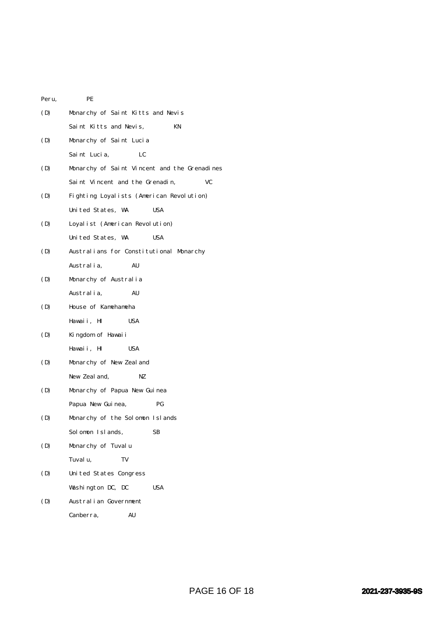| Peru, | PE                                           |  |  |  |  |
|-------|----------------------------------------------|--|--|--|--|
| (D)   | Monarchy of Saint Kitts and Nevis            |  |  |  |  |
|       | Saint Kitts and Nevis,<br>KN                 |  |  |  |  |
| (D)   | Monarchy of Saint Lucia                      |  |  |  |  |
|       | Saint Lucia,<br>LC                           |  |  |  |  |
| (D)   | Monarchy of Saint Vincent and the Grenadines |  |  |  |  |
|       | Saint Vincent and the Grenadin,<br>VC        |  |  |  |  |
| (D)   | Fighting Loyalists (American Revolution)     |  |  |  |  |
|       | United States, WA<br>USA                     |  |  |  |  |
| (D)   | Loyalist (American Revolution)               |  |  |  |  |
|       | United States, WA<br><b>USA</b>              |  |  |  |  |
| (D)   | Australians for Constitutional Monarchy      |  |  |  |  |
|       | Australia,<br>AU                             |  |  |  |  |
| (D)   | Monarchy of Australia                        |  |  |  |  |
|       | Australia,<br>AU                             |  |  |  |  |
| (D)   | House of Kamehameha                          |  |  |  |  |
|       | Hawaii, HI<br><b>USA</b>                     |  |  |  |  |
| (D)   | Kingdom of Hawaii                            |  |  |  |  |
|       | Hawaii, HI<br>USA                            |  |  |  |  |
| (D)   | Monarchy of New Zeal and                     |  |  |  |  |
|       | New Zeal and,<br>NZ                          |  |  |  |  |
| (D)   | Monarchy of Papua New Guinea                 |  |  |  |  |
|       | PG<br>Papua New Guinea,                      |  |  |  |  |
| (D)   | Monarchy of the Solomon Islands              |  |  |  |  |
|       | Solomon Islands,<br>SВ                       |  |  |  |  |
| (D)   | Monarchy of Tuvalu                           |  |  |  |  |
|       | Tuvalu,<br>TV                                |  |  |  |  |
| (D)   | United States Congress                       |  |  |  |  |
|       | Washington DC, DC<br><b>USA</b>              |  |  |  |  |
| (D)   | Australian Government                        |  |  |  |  |
|       | Canberra,<br>AU                              |  |  |  |  |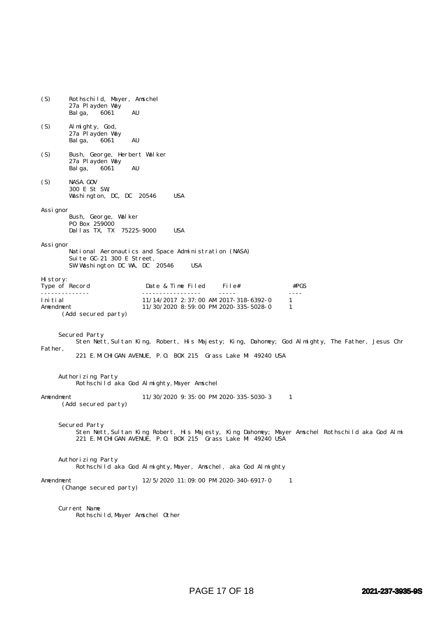| (S)                                                                                                                                                                                         | Rothschild, Mayer, Amschel<br>27a Playden Way<br>6061<br>AU<br>Bal ga,             |                                                                                       |         |                                   |  |  |
|---------------------------------------------------------------------------------------------------------------------------------------------------------------------------------------------|------------------------------------------------------------------------------------|---------------------------------------------------------------------------------------|---------|-----------------------------------|--|--|
| (S)                                                                                                                                                                                         | Al mighty, God,<br>27a Playden Way<br>6061<br>AU<br>Balga,                         |                                                                                       |         |                                   |  |  |
| (S)                                                                                                                                                                                         | Bush, George, Herbert Walker<br>27a Playden Way<br>AU<br>6061<br>Balga,            |                                                                                       |         |                                   |  |  |
| (S)                                                                                                                                                                                         | NASA. GOV<br>300 E St SW,<br><b>USA</b><br>Washington, DC, DC 20546                |                                                                                       |         |                                   |  |  |
| Assi gnor                                                                                                                                                                                   | Bush, George, Walker<br>P0 Box 259000<br>Dallas TX, TX 75225-9000                  | <b>USA</b>                                                                            |         |                                   |  |  |
| Assi gnor                                                                                                                                                                                   | Suite GC-21 300 E Street,<br>SW Washington DC WA, DC 20546                         | National Aeronautics and Space Administration (NASA)<br><b>USA</b>                    |         |                                   |  |  |
| History:<br>Type of Record                                                                                                                                                                  |                                                                                    | Date & Time Filed                                                                     | File#   | #PGS                              |  |  |
| Initial<br>Amendment                                                                                                                                                                        | (Add secured party)                                                                | $11/14/2017$ 2: 37:00 AM 2017-318-6392-0<br>$11/30/2020$ 8: 59: 00 PM 2020-335-5028-0 | $    -$ | $\omega$ is $\omega$ in<br>1<br>1 |  |  |
| Secured Party<br>Sten Nett, Sultan King, Robert, His Majesty; King, Dahomey; God Almighty, The Father, Jesus Chr<br>Father,<br>221 E. MICHIGAN AVENUE, P.O. BOX 215 Grass Lake MI 49240 USA |                                                                                    |                                                                                       |         |                                   |  |  |
| Authorizing Party<br>Rothschild aka God Almighty, Mayer Amschel                                                                                                                             |                                                                                    |                                                                                       |         |                                   |  |  |
| Amendment<br>11/30/2020 9:35:00 PM 2020-335-5030-3<br>1<br>(Add secured party)                                                                                                              |                                                                                    |                                                                                       |         |                                   |  |  |
| Secured Party<br>Sten Nett, Sultan King Robert, His Majesty, King Dahomey; Mayer Amschel Rothschild aka God Almi<br>221 E. MICHIGAN AVENUE, P.O. BOX 215 Grass Lake MI 49240 USA            |                                                                                    |                                                                                       |         |                                   |  |  |
|                                                                                                                                                                                             | Authorizing Party<br>Rothschild aka God Almighty, Mayer, Amschel, aka God Almighty |                                                                                       |         |                                   |  |  |
| 12/5/2020 11:09:00 PM 2020-340-6917-0<br>Amendment<br>-1<br>(Change secured party)                                                                                                          |                                                                                    |                                                                                       |         |                                   |  |  |
| Current Name<br>Rothschild, Mayer Amschel Other                                                                                                                                             |                                                                                    |                                                                                       |         |                                   |  |  |